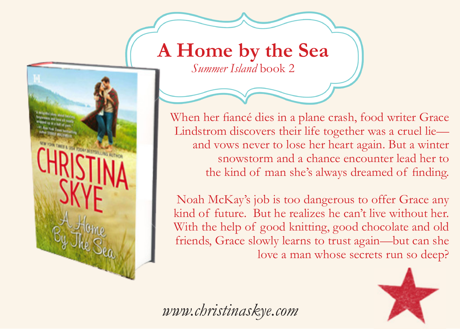## **A Home by the Sea**

*Summer Island* book 2

When her fiancé dies in a plane crash, food writer Grace Lindstrom discovers their life together was a cruel lie and vows never to lose her heart again. But a winter snowstorm and a chance encounter lead her to the kind of man she's always dreamed of finding.

Noah McKay's job is too dangerous to offer Grace any kind of future. But he realizes he can't live without her. With the help of good knitting, good chocolate and old friends, Grace slowly learns to trust again—but can she love a man whose secrets run so deep?



*www.christinaskye.com*